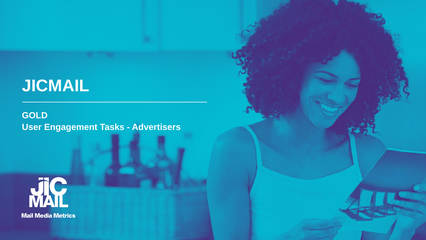## **JICMAIL**

**GOLD User Engagement Tasks - Advertisers**

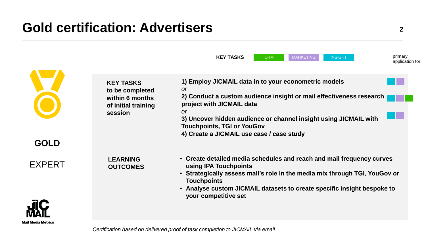|               |                                                                                          | <b>KEY TASKS</b><br><b>CRM</b><br><b>MARKETING</b><br><b>INSIGHT</b>                                                                                                                                                                                                                                                                     | primary<br>application for: |
|---------------|------------------------------------------------------------------------------------------|------------------------------------------------------------------------------------------------------------------------------------------------------------------------------------------------------------------------------------------------------------------------------------------------------------------------------------------|-----------------------------|
| <b>GOLD</b>   | <b>KEY TASKS</b><br>to be completed<br>within 6 months<br>of initial training<br>session | 1) Employ JICMAIL data in to your econometric models<br><b>or</b><br>2) Conduct a custom audience insight or mail effectiveness research<br>project with JICMAIL data<br><b>or</b><br>3) Uncover hidden audience or channel insight using JICMAIL with<br><b>Touchpoints, TGI or YouGov</b><br>4) Create a JICMAIL use case / case study |                             |
| <b>EXPERT</b> | <b>LEARNING</b><br><b>OUTCOMES</b>                                                       | • Create detailed media schedules and reach and mail frequency curves<br>using IPA Touchpoints<br>• Strategically assess mail's role in the media mix through TGI, YouGov or<br><b>Touchpoints</b><br>• Analyse custom JICMAIL datasets to create specific insight bespoke to<br>your competitive set                                    |                             |



*Certification based on delivered proof of task completion to JICMAIL via email*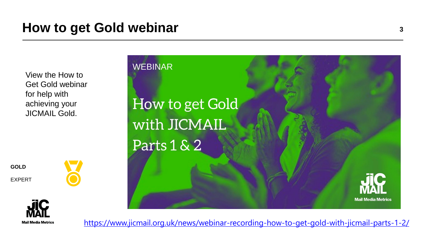View the How to Get Gold webinar for help with achieving your JICMAIL Gold.

**GOLD** EXPERT







https://www.jicmail.org.uk/news/webinar-recording-how-to-get-gold-with-jicmail-parts-1-2/